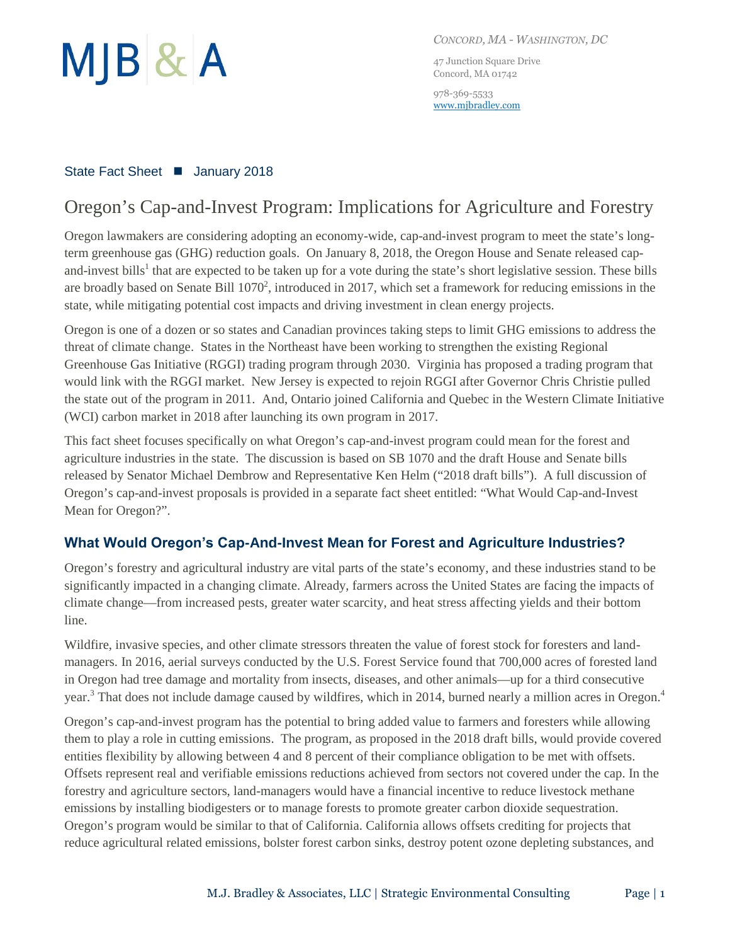

*CONCORD, MA - WASHINGTON, DC*

47 Junction Square Drive Concord, MA 01742

978-369-5533 [www.mjbradley.com](http://www.mjbradley.com/)

## State Fact Sheet ■ January 2018

# Oregon's Cap-and-Invest Program: Implications for Agriculture and Forestry

Oregon lawmakers are considering adopting an economy-wide, cap-and-invest program to meet the state's longterm greenhouse gas (GHG) reduction goals. On January 8, 2018, the Oregon House and Senate released capand-invest bills<sup>1</sup> that are expected to be taken up for a vote during the state's short legislative session. These bills are broadly based on Senate Bill  $1070^2$ , introduced in 2017, which set a framework for reducing emissions in the state, while mitigating potential cost impacts and driving investment in clean energy projects.

Oregon is one of a dozen or so states and Canadian provinces taking steps to limit GHG emissions to address the threat of climate change. States in the Northeast have been working to strengthen the existing Regional Greenhouse Gas Initiative (RGGI) trading program through 2030. Virginia has proposed a trading program that would link with the RGGI market. New Jersey is expected to rejoin RGGI after Governor Chris Christie pulled the state out of the program in 2011. And, Ontario joined California and Quebec in the Western Climate Initiative (WCI) carbon market in 2018 after launching its own program in 2017.

This fact sheet focuses specifically on what Oregon's cap-and-invest program could mean for the forest and agriculture industries in the state. The discussion is based on SB 1070 and the draft House and Senate bills released by Senator Michael Dembrow and Representative Ken Helm ("2018 draft bills"). A full discussion of Oregon's cap-and-invest proposals is provided in a separate fact sheet entitled: "What Would Cap-and-Invest Mean for Oregon?".

# **What Would Oregon's Cap-And-Invest Mean for Forest and Agriculture Industries?**

Oregon's forestry and agricultural industry are vital parts of the state's economy, and these industries stand to be significantly impacted in a changing climate. Already, farmers across the United States are facing the impacts of climate change—from increased pests, greater water scarcity, and heat stress affecting yields and their bottom line.

Wildfire, invasive species, and other climate stressors threaten the value of forest stock for foresters and landmanagers. In 2016, aerial surveys conducted by the U.S. Forest Service found that 700,000 acres of forested land in Oregon had tree damage and mortality from insects, diseases, and other animals—up for a third consecutive year.<sup>3</sup> That does not include damage caused by wildfires, which in 2014, burned nearly a million acres in Oregon.<sup>4</sup>

Oregon's cap-and-invest program has the potential to bring added value to farmers and foresters while allowing them to play a role in cutting emissions. The program, as proposed in the 2018 draft bills, would provide covered entities flexibility by allowing between 4 and 8 percent of their compliance obligation to be met with offsets. Offsets represent real and verifiable emissions reductions achieved from sectors not covered under the cap. In the forestry and agriculture sectors, land-managers would have a financial incentive to reduce livestock methane emissions by installing biodigesters or to manage forests to promote greater carbon dioxide sequestration. Oregon's program would be similar to that of California. California allows offsets crediting for projects that reduce agricultural related emissions, bolster forest carbon sinks, destroy potent ozone depleting substances, and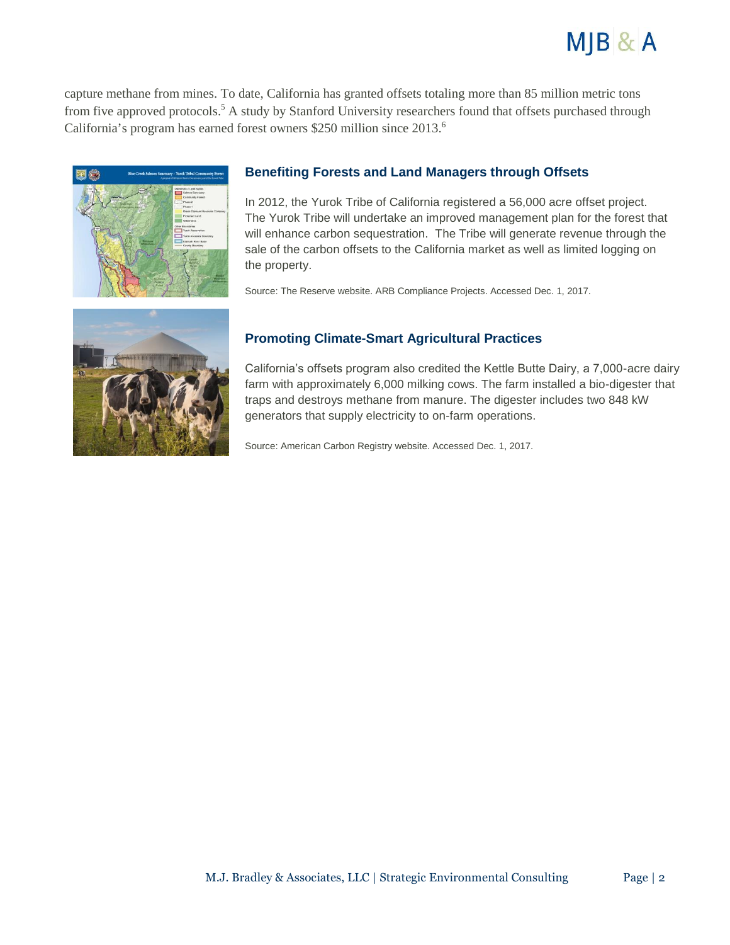

capture methane from mines. To date, California has granted offsets totaling more than 85 million metric tons from five approved protocols.<sup>5</sup> A study by Stanford University researchers found that offsets purchased through California's program has earned forest owners \$250 million since 2013.<sup>6</sup>



#### **Benefiting Forests and Land Managers through Offsets**

In 2012, the Yurok Tribe of California registered a 56,000 acre offset project. The Yurok Tribe will undertake an improved management plan for the forest that will enhance carbon sequestration. The Tribe will generate revenue through the sale of the carbon offsets to the California market as well as limited logging on the property.

Source[: The](https://thereserve2.apx.com/mymodule/reg/prjView.asp?id1=993) Reserve website. ARB Compliance Projects. Accessed Dec. 1, 2017.



### **Promoting Climate-Smart Agricultural Practices**

California's offsets program also credited the Kettle Butte Dairy, a 7,000-acre dairy farm with approximately 6,000 milking cows. The farm installed a bio-digester that traps and destroys methane from manure. The digester includes two 848 kW generators that supply electricity to on-farm operations.

Source[: American](https://acr2.apx.com/mymodule/reg/prjView.asp?id1=349) Carbon Registry website. Accessed Dec. 1, 2017.